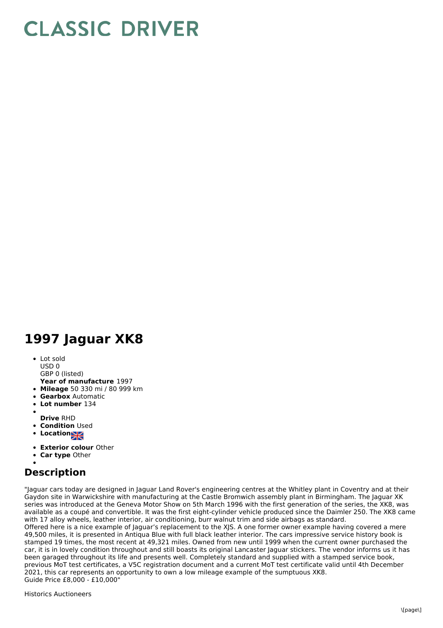## **CLASSIC DRIVER**

## **1997 Jaguar XK8**

• Lot sold USD 0

GBP 0 (listed)

- **Year of manufacture** 1997
- **Mileage** 50 330 mi / 80 999 km
- **Gearbox** Automatic
- $\bullet$ **Lot number** 134
- **Drive** RHD
- **Condition Used**
- 
- **Locations**
- **Exterior colour** Other
- **Car type** Other

## **Description**

"Jaguar cars today are designed in Jaguar Land Rover's engineering centres at the Whitley plant in Coventry and at their Gaydon site in Warwickshire with manufacturing at the Castle Bromwich assembly plant in Birmingham. The Jaguar XK series was introduced at the Geneva Motor Show on 5th March 1996 with the first generation of the series, the XK8, was available as a coupé and convertible. It was the first eight-cylinder vehicle produced since the Daimler 250. The XK8 came with 17 alloy wheels, leather interior, air conditioning, burr walnut trim and side airbags as standard.

Offered here is a nice example of Jaguar's replacement to the XJS. A one former owner example having covered a mere 49,500 miles, it is presented in Antiqua Blue with full black leather interior. The cars impressive service history book is stamped 19 times, the most recent at 49,321 miles. Owned from new until 1999 when the current owner purchased the car, it is in lovely condition throughout and still boasts its original Lancaster Jaguar stickers. The vendor informs us it has been garaged throughout its life and presents well. Completely standard and supplied with a stamped service book, previous MoT test certificates, a V5C registration document and a current MoT test certificate valid until 4th December 2021, this car represents an opportunity to own a low mileage example of the sumptuous XK8. Guide Price £8,000 - £10,000"

Historics Auctioneers